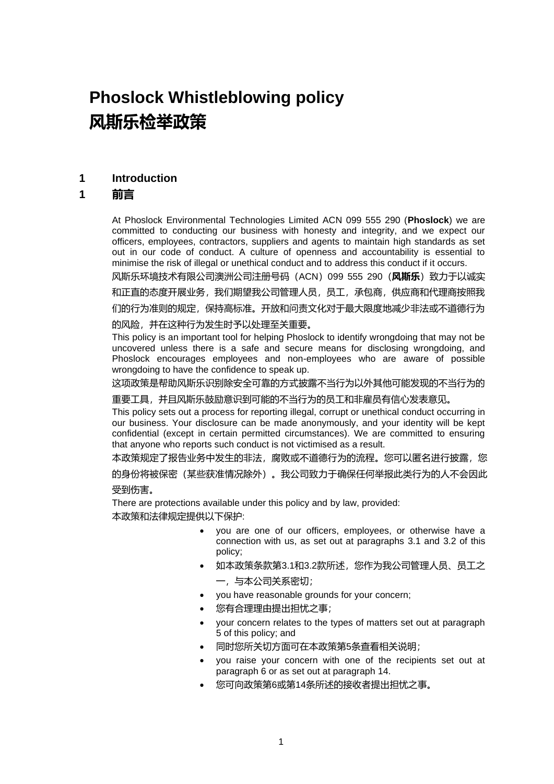# **Phoslock Whistleblowing policy 风斯乐检举政策**

#### **1 Introduction**

#### **1 前言**

At Phoslock Environmental Technologies Limited ACN 099 555 290 (**Phoslock**) we are committed to conducting our business with honesty and integrity, and we expect our officers, employees, contractors, suppliers and agents to maintain high standards as set out in our code of conduct. A culture of openness and accountability is essential to minimise the risk of illegal or unethical conduct and to address this conduct if it occurs.

风斯乐环境技术有限公司澳洲公司注册号码(ACN)099 555 290(**风斯乐**)致力于以诚实 和正直的态度开展业务,我们期望我公司管理人员,员工,承包商,供应商和代理商按照我

们的行为准则的规定,保持高标准。开放和问责文化对于最大限度地减少非法或不道德行为 的风险,并在这种行为发生时予以处理至关重要。

This policy is an important tool for helping Phoslock to identify wrongdoing that may not be uncovered unless there is a safe and secure means for disclosing wrongdoing, and Phoslock encourages employees and non-employees who are aware of possible wrongdoing to have the confidence to speak up.

这项政策是帮助风斯乐识别除安全可靠的方式披露不当行为以外其他可能发现的不当行为的

重要工具,并且风斯乐鼓励意识到可能的不当行为的员工和非雇员有信心发表意见。

This policy sets out a process for reporting illegal, corrupt or unethical conduct occurring in our business. Your disclosure can be made anonymously, and your identity will be kept confidential (except in certain permitted circumstances). We are committed to ensuring that anyone who reports such conduct is not victimised as a result.

本政策规定了报告业务中发生的非法,腐败或不道德行为的流程。您可以匿名进行披露,您 的身份将被保密(某些获准情况除外)。我公司致力于确保任何举报此类行为的人不会因此 受到伤害。

There are protections available under this policy and by law, provided: 本政策和法律规定提供以下保护:

- you are one of our officers, employees, or otherwise have a connection with us, as set out at paragraphs [3.1 a](#page-1-0)nd [3.2 o](#page-1-1)f this policy;
- 如本政策条款第3.1和3.2款所述,您作为我公司管理人员、员工之
	- 一,与本公司关系密切;
- you have reasonable grounds for your concern;
- 您有合理理由提出担忧之事;
- your concern relates to the types of matters set out at paragraph [5 o](#page-3-0)f this policy; and
- 同时您所关切方面可在本政策第5条查看相关说明;
- you raise your concern with one of the recipients set out at paragraph [6 o](#page-7-0)r as set out at paragraph [14.](#page-13-0)
- 您可向政策第6或第14条所述的接收者提出担忧之事。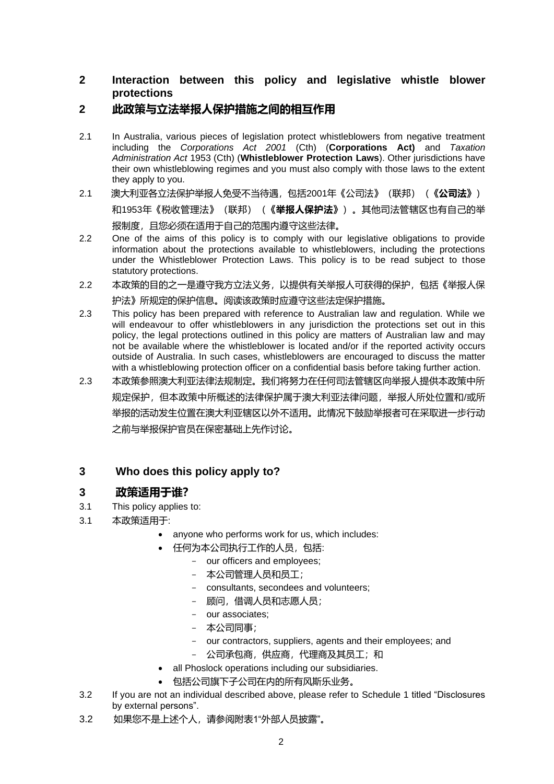#### **2 Interaction between this policy and legislative whistle blower protections**

## **2 此政策与立法举报人保护措施之间的相互作用**

- 2.1 In Australia, various pieces of legislation protect whistleblowers from negative treatment including the *Corporations Act 2001* (Cth) (**Corporations Act)** and *Taxation Administration Act* 1953 (Cth) (**Whistleblower Protection Laws**). Other jurisdictions have their own whistleblowing regimes and you must also comply with those laws to the extent they apply to you.
- 2.1 澳大利亚各立法保护举报人免受不当待遇,包括2001年《公司法》(联邦)(**《公司法》**) 和1953年《税收管理法》(联邦)(**《举报人保护法》**)。其他司法管辖区也有自己的举 报制度,且您必须在适用于自己的范围内遵守这些法律。
- 2.2 One of the aims of this policy is to comply with our legislative obligations to provide information about the protections available to whistleblowers, including the protections under the Whistleblower Protection Laws. This policy is to be read subject to those statutory protections.
- 2.2 本政策的目的之一是遵守我方立法义务,以提供有关举报人可获得的保护,包括《举报人保 护法》所规定的保护信息。阅读该政策时应遵守这些法定保护措施。
- 2.3 This policy has been prepared with reference to Australian law and regulation. While we will endeavour to offer whistleblowers in any jurisdiction the protections set out in this policy, the legal protections outlined in this policy are matters of Australian law and may not be available where the whistleblower is located and/or if the reported activity occurs outside of Australia. In such cases, whistleblowers are encouraged to discuss the matter with a whistleblowing protection officer on a confidential basis before taking further action.
- 2.3 本政策参照澳大利亚法律法规制定。我们将努力在任何司法管辖区向举报人提供本政策中所 规定保护,但本政策中所概述的法律保护属于澳大利亚法律问题,举报人所处位置和/或所 举报的活动发生位置在澳大利亚辖区以外不适用。此情况下鼓励举报者可在采取进一步行动 之前与举报保护官员在保密基础上先作讨论。

## **3 Who does this policy apply to?**

## **3 政策适用于谁?**

- <span id="page-1-0"></span>3.1 This policy applies to:
- 3.1 本政策适用于:
	- anyone who performs work for us, which includes:
	- 任何为本公司执行工作的人员,包括:
		- our officers and employees;
		- 本公司管理人员和员工;
		- consultants, secondees and volunteers;
		- 顾问,借调人员和志愿人员;
		- our associates;
		- 本公司同事;
		- our contractors, suppliers, agents and their employees; and
		- 公司承包商,供应商,代理商及其员工;和
	- all Phoslock operations including our subsidiaries.
	- 包括公司旗下子公司在内的所有风斯乐业务。
- <span id="page-1-1"></span>3.2 If you are not an individual described above, please refer to [Schedule 1 t](#page-16-0)itled "Disclosures by external persons".
- 3.2 如果您不是上述个人,请参阅附表1"外部人员披露"。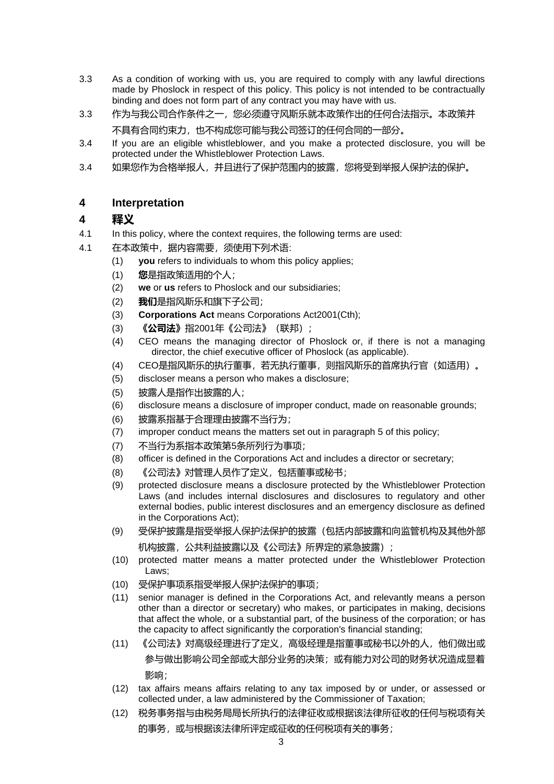- 3.3 As a condition of working with us, you are required to comply with any lawful directions made by Phoslock in respect of this policy. This policy is not intended to be contractually binding and does not form part of any contract you may have with us.
- 3.3 作为与我公司合作条件之一,您必须遵守风斯乐就本政策作出的任何合法指示。本政策并 不具有合同约束力,也不构成您可能与我公司签订的任何合同的一部分。
- 3.4 If you are an eligible whistleblower, and you make a protected disclosure, you will be protected under the Whistleblower Protection Laws.
- 3.4 如果您作为合格举报人,并且进行了保护范围内的披露,您将受到举报人保护法的保护。

#### **4 Interpretation**

#### **4 释义**

- 4.1 In this policy, where the context requires, the following terms are used:
- 4.1 在本政策中,据内容需要,须使用下列术语:
	- (1) **you** refers to individuals to whom this policy applies;
	- (1) **您**是指政策适用的个人;
	- (2) **we** or **us** refers to Phoslock and our subsidiaries;
	- (2) **我们**是指风斯乐和旗下子公司;
	- (3) **Corporations Act** means Corporations Act2001(Cth);
	- (3) **《公司法》**指2001年《公司法》(联邦);
	- (4) CEO means the managing director of Phoslock or, if there is not a managing director, the chief executive officer of Phoslock (as applicable).
	- (4) CEO是指风斯乐的执行董事,若无执行董事,则指风斯乐的首席执行官(如适用)。
	- (5) discloser means a person who makes a disclosure;
	- (5) 披露人是指作出披露的人;
	- (6) disclosure means a disclosure of improper conduct, made on reasonable grounds;
	- (6) 披露系指基于合理理由披露不当行为;
	- (7) improper conduct means the matters set out in paragraph [5 o](#page-3-0)f this policy;
	- (7) 不当行为系指本政策第5条所列行为事项;
	- (8) officer is defined in the Corporations Act and includes a director or secretary;
	- (8) 《公司法》对管理人员作了定义,包括董事或秘书;
	- (9) protected disclosure means a disclosure protected by the Whistleblower Protection Laws (and includes internal disclosures and disclosures to regulatory and other external bodies, public interest disclosures and an emergency disclosure as defined in the Corporations Act);
	- (9) 受保护披露是指受举报人保护法保护的披露(包括内部披露和向监管机构及其他外部 机构披露, 公共利益披露以及《公司法》所界定的紧急披露);
	- (10) protected matter means a matter protected under the Whistleblower Protection Laws;
	- (10) 受保护事项系指受举报人保护法保护的事项;
	- (11) senior manager is defined in the Corporations Act, and relevantly means a person other than a [director o](http://www.austlii.edu.au/cgi-bin/viewdoc/au/legis/cth/consol_act/ca2001172/s9.html#director)r secretary) who [makes,](http://www.austlii.edu.au/cgi-bin/viewdoc/au/legis/cth/consol_act/ca2001172/s1551.html#make) or participates in making, [decisions](http://www.austlii.edu.au/cgi-bin/viewdoc/au/legis/cth/consol_act/ca2001172/s1317a.html#decision) that affect the whole, or a [substantial part, o](http://www.austlii.edu.au/cgi-bin/viewdoc/au/legis/cth/consol_act/ca2001172/s9.html#substantial_part)f the business of the [corporation;](http://www.austlii.edu.au/cgi-bin/viewdoc/au/legis/cth/consol_act/ca2001172/s9.html#corporation) or has the capacity to affect significantly the [corporation's](http://www.austlii.edu.au/cgi-bin/viewdoc/au/legis/cth/consol_act/ca2001172/s9.html#corporation) financial standing;
	- (11) 《公司法》对高级经理进行了定义,高级经理是指董事或秘书以外的人,他们做出或 参与做出影响公司全部或大部分业务的决策;或有能力对公司的财务状况造成显着 影响;
	- (12) tax affairs means affairs relating to any tax imposed by or under, or assessed or collected under, a law administered by the Commissioner of Taxation;
	- (12) 税务事务指与由税务局局长所执行的法律征收或根据该法律所征收的任何与税项有关 的事务,或与根据该法律所评定或征收的任何税项有关的事务;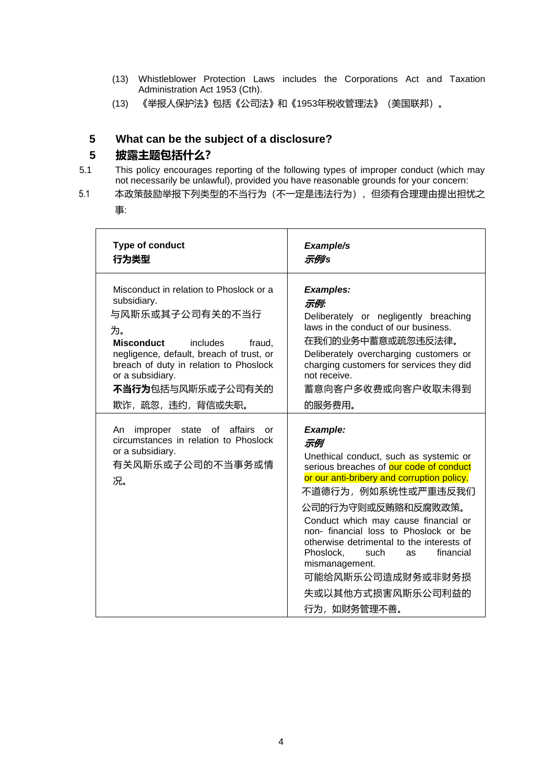- (13) Whistleblower Protection Laws includes the Corporations Act and Taxation Administration Act 1953 (Cth).
- (13) 《举报人保护法》包括《公司法》和《1953年税收管理法》(美国联邦)。

## <span id="page-3-0"></span>**5 What can be the subject of a disclosure?**

## **5 披露主题包括什么?**

- 5.1 This policy encourages reporting of the following types of improper conduct (which may not necessarily be unlawful), provided you have reasonable grounds for your concern:
- 5.1 本政策鼓励举报下列类型的不当行为(不一定是违法行为), 但须有合理理由提出担忧之 事:

| <b>Type of conduct</b><br>行为类型                                                                                                                                                                                                                                                  | Example/s<br>示例/s                                                                                                                                                                                                                                                                                                                                                                                                                              |
|---------------------------------------------------------------------------------------------------------------------------------------------------------------------------------------------------------------------------------------------------------------------------------|------------------------------------------------------------------------------------------------------------------------------------------------------------------------------------------------------------------------------------------------------------------------------------------------------------------------------------------------------------------------------------------------------------------------------------------------|
| Misconduct in relation to Phoslock or a<br>subsidiary.<br>与风斯乐或其子公司有关的不当行<br>为。<br><b>Misconduct</b><br>includes<br>fraud,<br>negligence, default, breach of trust, or<br>breach of duty in relation to Phoslock<br>or a subsidiary.<br>不当行为包括与风斯乐或子公司有关的<br>欺诈, 疏忽, 违约, 背信或失职。 | <b>Examples:</b><br>示例:<br>Deliberately or negligently breaching<br>laws in the conduct of our business.<br>在我们的业务中蓄意或疏忽违反法律。<br>Deliberately overcharging customers or<br>charging customers for services they did<br>not receive.<br>蓄意向客户多收费或向客户收取未得到<br>的服务费用。                                                                                                                                                                             |
| An improper state of affairs<br>or<br>circumstances in relation to Phoslock<br>or a subsidiary.<br>有关风斯乐或子公司的不当事务或情<br>况。                                                                                                                                                       | Example:<br>示例<br>Unethical conduct, such as systemic or<br>serious breaches of our code of conduct<br>or our anti-bribery and corruption policy.<br>不道德行为,例如系统性或严重违反我们<br>公司的行为守则或反贿赂和反腐败政策。<br>Conduct which may cause financial or<br>non- financial loss to Phoslock or be<br>otherwise detrimental to the interests of<br>Phoslock,<br>financial<br>such<br>as<br>mismanagement.<br>可能给风斯乐公司造成财务或非财务损<br>失或以其他方式损害风斯乐公司利益的<br>行为,如财务管理不善。 |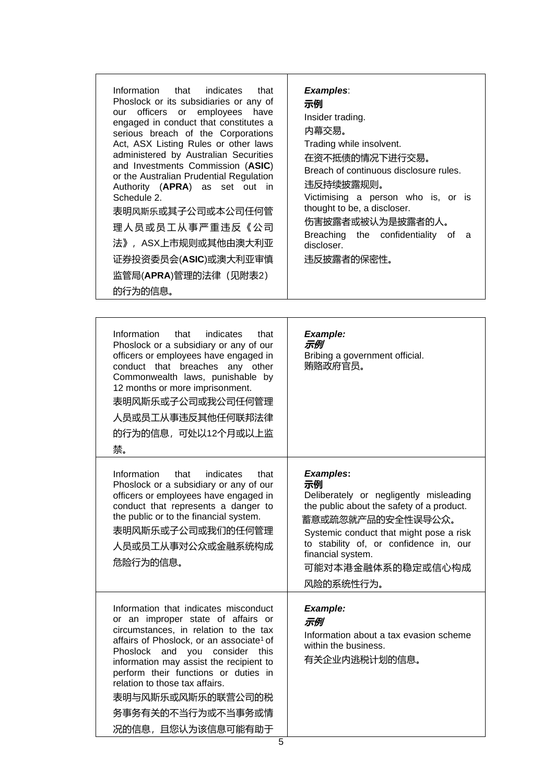| Information that indicates that<br>Phoslock or its subsidiaries or any of<br>our officers or employees have<br>engaged in conduct that constitutes a<br>serious breach of the Corporations<br>Act, ASX Listing Rules or other laws<br>administered by Australian Securities<br>and Investments Commission (ASIC)<br>or the Australian Prudential Regulation<br>Authority ( <b>APRA</b> ) as set out in<br>Schedule 2.<br>表明风斯乐或其子公司或本公司任何管<br>理人员或员工从事严重违反《公司<br>法》,ASX上市规则或其他由澳大利亚<br>证券投资委员会(ASIC)或澳大利亚审慎<br>监管局(APRA)管理的法律 (见附表2)<br>的行为的信息。 | <b>Examples:</b><br>示例<br>Insider trading.<br>内幕交易。<br>Trading while insolvent.<br>在资不抵债的情况下进行交易。<br>Breach of continuous disclosure rules.<br>违反持续披露规则。<br>Victimising a person who is, or is<br>thought to be, a discloser.<br>伤害披露者或被认为是披露者的人。<br>Breaching the confidentiality<br>0t<br>a<br>discloser.<br>违反披露者的保密性。 |
|-------------------------------------------------------------------------------------------------------------------------------------------------------------------------------------------------------------------------------------------------------------------------------------------------------------------------------------------------------------------------------------------------------------------------------------------------------------------------------------------------------------------------------------------------|---------------------------------------------------------------------------------------------------------------------------------------------------------------------------------------------------------------------------------------------------------------------------------------------------------------------------|
|-------------------------------------------------------------------------------------------------------------------------------------------------------------------------------------------------------------------------------------------------------------------------------------------------------------------------------------------------------------------------------------------------------------------------------------------------------------------------------------------------------------------------------------------------|---------------------------------------------------------------------------------------------------------------------------------------------------------------------------------------------------------------------------------------------------------------------------------------------------------------------------|

| Information<br>indicates<br>that<br>that<br>Phoslock or a subsidiary or any of our<br>officers or employees have engaged in<br>conduct that breaches any other<br>Commonwealth laws, punishable by<br>12 months or more imprisonment.<br>表明风斯乐或子公司或我公司任何管理<br>人员或员工从事违反其他任何联邦法律<br>的行为的信息,可处以12个月或以上监<br>禁。                                                                                         | <b>Example:</b><br>示例<br>Bribing a government official.<br>贿赂政府官员。                                                                                                                                                                                                             |
|-----------------------------------------------------------------------------------------------------------------------------------------------------------------------------------------------------------------------------------------------------------------------------------------------------------------------------------------------------------------------------------------------------|--------------------------------------------------------------------------------------------------------------------------------------------------------------------------------------------------------------------------------------------------------------------------------|
| Information<br>that<br>indicates<br>that<br>Phoslock or a subsidiary or any of our<br>officers or employees have engaged in<br>conduct that represents a danger to<br>the public or to the financial system.<br>表明风斯乐或子公司或我们的任何管理<br>人员或员工从事对公众或金融系统构成<br>危险行为的信息。                                                                                                                                  | <b>Examples:</b><br>示例<br>Deliberately or negligently misleading<br>the public about the safety of a product.<br>蓄意或疏忽就产品的安全性误导公众。<br>Systemic conduct that might pose a risk<br>to stability of, or confidence in, our<br>financial system.<br>可能对本港金融体系的稳定或信心构成<br>风险的系统性行为。 |
| Information that indicates misconduct<br>or an improper state of affairs or<br>circumstances, in relation to the tax<br>affairs of Phoslock, or an associate <sup>1</sup> of<br>Phoslock and you consider this<br>information may assist the recipient to<br>perform their functions or duties in<br>relation to those tax affairs.<br>表明与风斯乐或风斯乐的联营公司的税<br>务事务有关的不当行为或不当事务或情<br>况的信息, 且您认为该信息可能有助于 | <b>Example:</b><br>示例<br>Information about a tax evasion scheme<br>within the business.<br>有关企业内逃税计划的信息。                                                                                                                                                                       |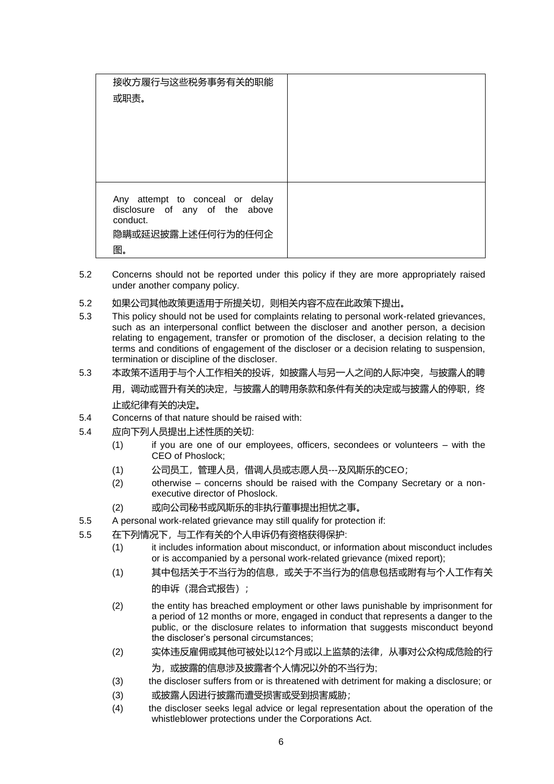| 接收方履行与这些税务事务有关的职能<br>或职责。                                                                                |  |
|----------------------------------------------------------------------------------------------------------|--|
| Any attempt to conceal or delay<br>disclosure of any of the above<br>conduct.<br>隐瞒或延迟披露上述任何行为的任何企<br>图。 |  |

- 5.2 Concerns should not be reported under this policy if they are more appropriately raised under another company policy.
- 5.2 如果公司其他政策更适用于所提关切,则相关内容不应在此政策下提出。
- 5.3 This policy should not be used for complaints relating to personal work-related grievances, such as an interpersonal conflict between the discloser and another person, a decision relating to engagement, transfer or promotion of the discloser, a decision relating to the terms and conditions of engagement of the discloser or a decision relating to suspension, termination or discipline of the discloser.
- 5.3 本政策不适用于与个人工作相关的投诉,如披露人与另一人之间的人际冲突,与披露人的聘

用,调动或晋升有关的决定,与披露人的聘用条款和条件有关的决定或与披露人的停职,终 止或纪律有关的决定。

- 5.4 Concerns of that nature should be raised with:
- 5.4 应向下列人员提出上述性质的关切:
	- (1) if you are one of our employees, officers, secondees or volunteers with the CEO of Phoslock;
	- (1) 公司员工,管理人员,借调人员或志愿人员---及风斯乐的CEO;
	- (2) otherwise concerns should be raised with the Company Secretary or a nonexecutive director of Phoslock.
	- (2) 或向公司秘书或风斯乐的非执行董事提出担忧之事。
- 5.5 A personal work-related grievance may still qualify for protection if:
- 5.5 在下列情况下,与工作有关的个人申诉仍有资格获得保护:
	- (1) it includes information about misconduct, or information about misconduct includes or is accompanied by a personal work-related grievance (mixed report);
	- (1) 其中包括关于不当行为的信息,或关于不当行为的信息包括或附有与个人工作有关 的申诉(混合式报告);
	- (2) the entity has breached employment or other laws punishable by imprisonment for a period of 12 months or more, engaged in conduct that represents a danger to the public, or the disclosure relates to information that suggests misconduct beyond the discloser's personal circumstances;
	- (2) 实体违反雇佣或其他可被处以12个月或以上监禁的法律,从事对公众构成危险的行
		- 为,或披露的信息涉及披露者个人情况以外的不当行为;
	- (3) the discloser suffers from or is threatened with detriment for making a disclosure; or
	- (3) 或披露人因进行披露而遭受损害或受到损害威胁;
	- (4) the discloser seeks legal advice or legal representation about the operation of the whistleblower protections under the Corporations Act.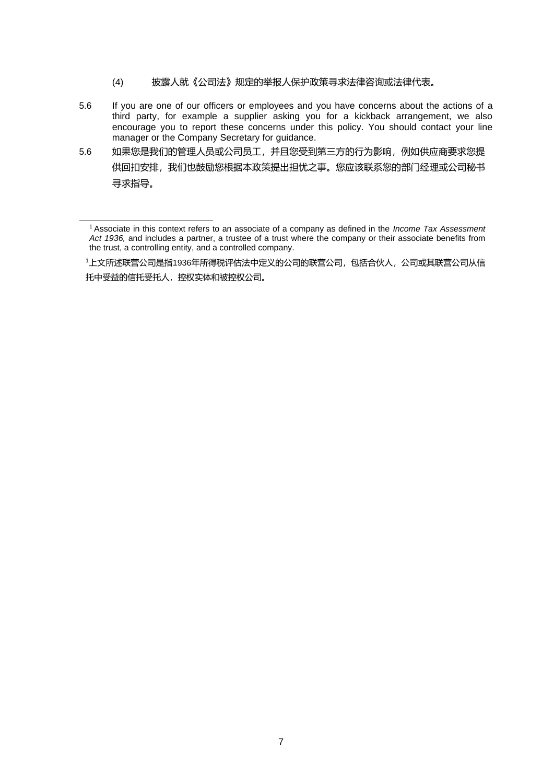- (4) 披露人就《公司法》规定的举报人保护政策寻求法律咨询或法律代表。
- 5.6 If you are one of our officers or employees and you have concerns about the actions of a third party, for example a supplier asking you for a kickback arrangement, we also encourage you to report these concerns under this policy. You should contact your line manager or the Company Secretary for guidance.
- 5.6 如果您是我们的管理人员或公司员工,并且您受到第三方的行为影响,例如供应商要求您提 供回扣安排,我们也鼓励您根据本政策提出担忧之事。您应该联系您的部门经理或公司秘书 寻求指导。

<sup>1</sup>Associate in this context refers to an associate of a company as defined in the *Income Tax Assessment*  Act 1936, and includes a partner, a trustee of a trust where the company or their associate benefits from the trust, a controlling entity, and a controlled company.

<sup>1</sup>上文所述联营公司是指1936年所得税评估法中定义的公司的联营公司,包括合伙人,公司或其联营公司从信 托中受益的信托受托人,控权实体和被控权公司。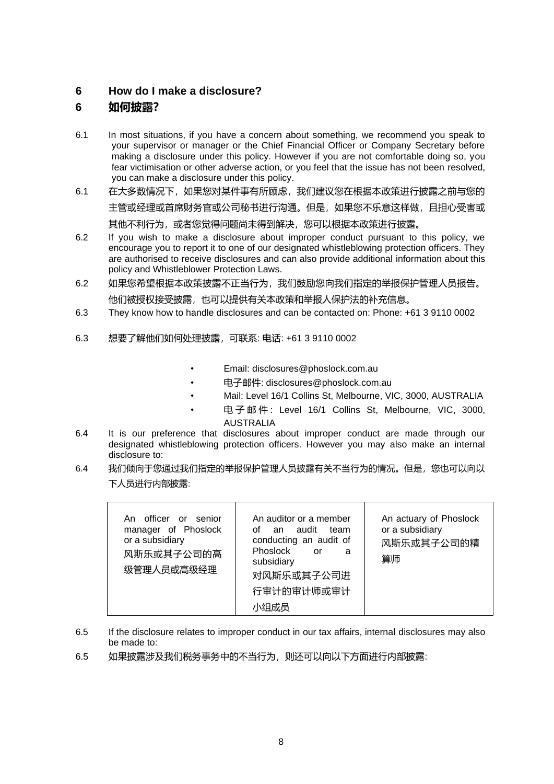#### <span id="page-7-0"></span>**6 How do I make a disclosure?**

### **6 如何披露?**

- 6.1 In most situations, if you have a concern about something, we recommend you speak to your supervisor or manager or the Chief Financial Officer or Company Secretary before making a disclosure under this policy. However if you are not comfortable doing so, you fear victimisation or other adverse action, or you feel that the issue has not been resolved, you can make a disclosure under this policy.
- 6.1 在大多数情况下,如果您对某件事有所顾虑,我们建议您在根据本政策进行披露之前与您的 主管或经理或首席财务官或公司秘书进行沟通。但是,如果您不乐意这样做,且担心受害或 其他不利行为,或者您觉得问题尚未得到解决,您可以根据本政策进行披露。
- 6.2 If you wish to make a disclosure about improper conduct pursuant to this policy, we encourage you to report it to one of our designated whistleblowing protection officers. They are authorised to receive disclosures and can also provide additional information about this policy and Whistleblower Protection Laws.
- 6.2 如果您希望根据本政策披露不正当行为,我们鼓励您向我们指定的举报保护管理人员报告。 他们被授权接受披露,也可以提供有关本政策和举报人保护法的补充信息。
- 6.3 They know how to handle disclosures and can be contacted on: Phone: +61 3 9110 0002
- 6.3 想要了解他们如何处理披露,可联系: 电话: +61 3 9110 0002
	- Email: disclosures@phoslock.com.au
	- 电子邮件: disclosures@phoslock.com.au
	- Mail: Level 16/1 Collins St, Melbourne, VIC, 3000, AUSTRALIA
	- 电子邮件 : Level 16/1 Collins St, Melbourne, VIC, 3000, AUSTRALIA
- 6.4 It is our preference that disclosures about improper conduct are made through our designated whistleblowing protection officers. However you may also make an internal disclosure to:
- 6.4 我们倾向于您通过我们指定的举报保护管理人员披露有关不当行为的情况。但是,您也可以向以 下人员进行内部披露:

| 小组成员 | An officer or senior<br>manager of Phoslock<br>or a subsidiary<br>风斯乐或其子公司的高<br>级管理人员或高级经理 | An auditor or a member<br>of an audit<br>team<br>conducting an audit of<br>Phoslock<br>or<br>a<br>subsidiary<br>对风斯乐或其子公司进<br>行审计的审计师或审计 | An actuary of Phoslock<br>or a subsidiary<br>风斯乐或其子公司的精<br>算师 |
|------|--------------------------------------------------------------------------------------------|------------------------------------------------------------------------------------------------------------------------------------------|---------------------------------------------------------------|
|------|--------------------------------------------------------------------------------------------|------------------------------------------------------------------------------------------------------------------------------------------|---------------------------------------------------------------|

- 6.5 If the disclosure relates to improper conduct in our tax affairs, internal disclosures may also be made to:
- 6.5 如果披露涉及我们税务事务中的不当行为,则还可以向以下方面进行内部披露: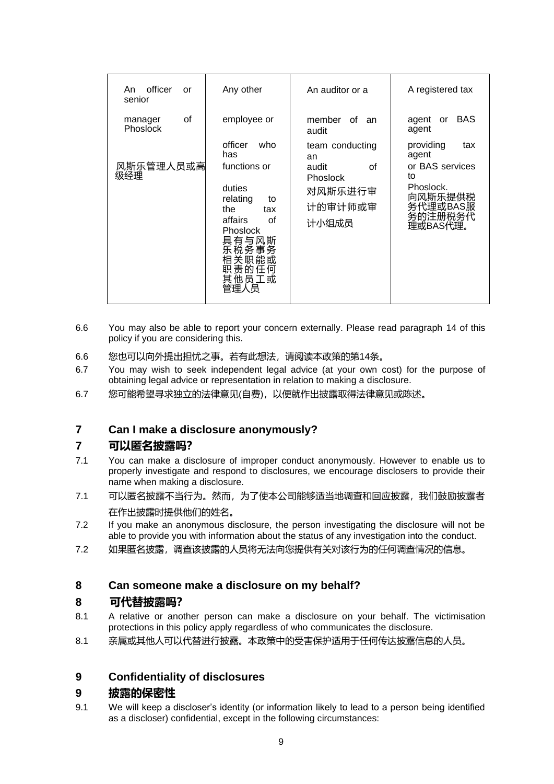| officer<br>An<br>or<br>senior    | Any other                                                                                                                                                        | An auditor or a                                                                        | A registered tax                                                                                              |
|----------------------------------|------------------------------------------------------------------------------------------------------------------------------------------------------------------|----------------------------------------------------------------------------------------|---------------------------------------------------------------------------------------------------------------|
| οf<br>manager<br><b>Phoslock</b> | employee or                                                                                                                                                      | member<br>of<br>an<br>audit                                                            | <b>BAS</b><br>agent or<br>agent                                                                               |
| 风斯乐管理人员或高<br>级经理                 | officer<br>who<br>has<br>functions or<br>duties<br>relating<br>to<br>the<br>tax<br>affairs<br>οf<br><b>Phoslock</b><br>具有与风斯<br>乐税务事务<br>相关职能或<br>职责的任何<br>其他员工或 | team conducting<br>an<br>οf<br>audit<br><b>Phoslock</b><br>对风斯乐进行审<br>计的审计师或审<br>计小组成员 | providing<br>tax<br>agent<br>or BAS services<br>to<br>Phoslock.<br>向风斯乐提供税<br>务代理或BAS服<br>务的注册税务代<br>理或BAS代理。 |

- 6.6 You may also be able to report your concern externally. Please read paragraph [14 o](#page-13-0)f this policy if you are considering this.
- 6.6 您也可以向外提出担忧之事。若有此想法,请阅读本政策的第14条。
- 6.7 You may wish to seek independent legal advice (at your own cost) for the purpose of obtaining legal advice or representation in relation to making a disclosure.
- 6.7 您可能希望寻求独立的法律意见(自费),以便就作出披露取得法律意见或陈述。

#### **7 Can I make a disclosure anonymously?**

#### **7 可以匿名披露吗?**

- 7.1 You can make a disclosure of improper conduct anonymously. However to enable us to properly investigate and respond to disclosures, we encourage disclosers to provide their name when making a disclosure.
- 7.1 可以匿名披露不当行为。然而,为了使本公司能够适当地调查和回应披露,我们鼓励披露者 在作出披露时提供他们的姓名。
- 7.2 If you make an anonymous disclosure, the person investigating the disclosure will not be able to provide you with information about the status of any investigation into the conduct.
- 7.2 如果匿名披露,调查该披露的人员将无法向您提供有关对该行为的任何调查情况的信息。

#### **8 Can someone make a disclosure on my behalf?**

#### **8 可代替披露吗?**

- 8.1 A relative or another person can make a disclosure on your behalf. The victimisation protections in this policy apply regardless of who communicates the disclosure.
- 8.1 亲属或其他人可以代替进行披露。本政策中的受害保护适用于任何传达披露信息的人员。

#### **9 Confidentiality of disclosures**

#### **9 披露的保密性**

9.1 We will keep a discloser's identity (or information likely to lead to a person being identified as a discloser) confidential, except in the following circumstances: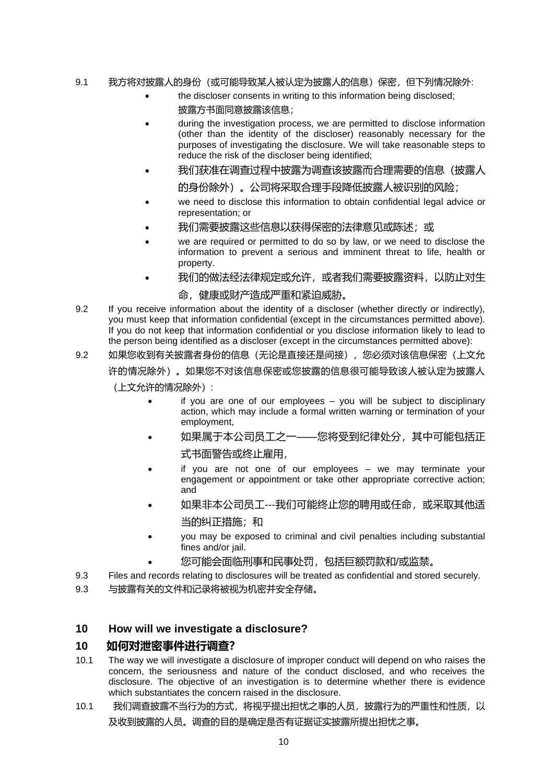#### 9.1 我方将对披露人的身份(或可能导致某人被认定为披露人的信息)保密,但下列情况除外:

- the discloser consents in writing to this information being disclosed; 披露方书面同意披露该信息;
- during the investigation process, we are permitted to disclose information (other than the identity of the discloser) reasonably necessary for the purposes of investigating the disclosure. We will take reasonable steps to reduce the risk of the discloser being identified;
- 我们获准在调查过程中披露为调查该披露而合理需要的信息(披露人 的身份除外)。公司将采取合理手段降低披露人被识别的风险;
- we need to disclose this information to obtain confidential legal advice or representation; or
- 我们需要披露这些信息以获得保密的法律意见或陈述;或
- we are required or permitted to do so by law, or we need to disclose the information to prevent a serious and imminent threat to life, health or property.
- 我们的做法经法律规定或允许, 或者我们需要披露资料, 以防止对生
	- 命,健康或财产造成严重和紧迫威胁。
- 9.2 If you receive information about the identity of a discloser (whether directly or indirectly), you must keep that information confidential (except in the circumstances permitted above). If you do not keep that information confidential or you disclose information likely to lead to the person being identified as a discloser (except in the circumstances permitted above):
- 9.2 如果您收到有关披露者身份的信息(无论是直接还是间接),您必须对该信息保密(上文允 许的情况除外)。如果您不对该信息保密或您披露的信息很可能导致该人被认定为披露人
	- (上文允许的情况除外):
		- if you are one of our employees you will be subject to disciplinary action, which may include a formal written warning or termination of your employment,
		- 如果属于本公司员工之一——您将受到纪律处分,其中可能包括正
			- 式书面警告或终止雇用,
		- if you are not one of our employees we may terminate your engagement or appointment or take other appropriate corrective action; and
		- 如果非本公司员工---我们可能终止您的聘用或任命,或采取其他适
			- 当的纠正措施;和
		- you may be exposed to criminal and civil penalties including substantial fines and/or jail.
		- 您可能会面临刑事和民事处罚,包括巨额罚款和/或监禁。
- 9.3 Files and records relating to disclosures will be treated as confidential and stored securely.

9.3 与披露有关的文件和记录将被视为机密并安全存储。

#### **10 How will we investigate a disclosure?**

#### **10 如何对泄密事件进行调查?**

- 10.1 The way we will investigate a disclosure of improper conduct will depend on who raises the concern, the seriousness and nature of the conduct disclosed, and who receives the disclosure. The objective of an investigation is to determine whether there is evidence which substantiates the concern raised in the disclosure.
- 10.1 我们调查披露不当行为的方式,将视乎提出担忧之事的人员,披露行为的严重性和性质,以 及收到披露的人员。调查的目的是确定是否有证据证实披露所提出担忧之事。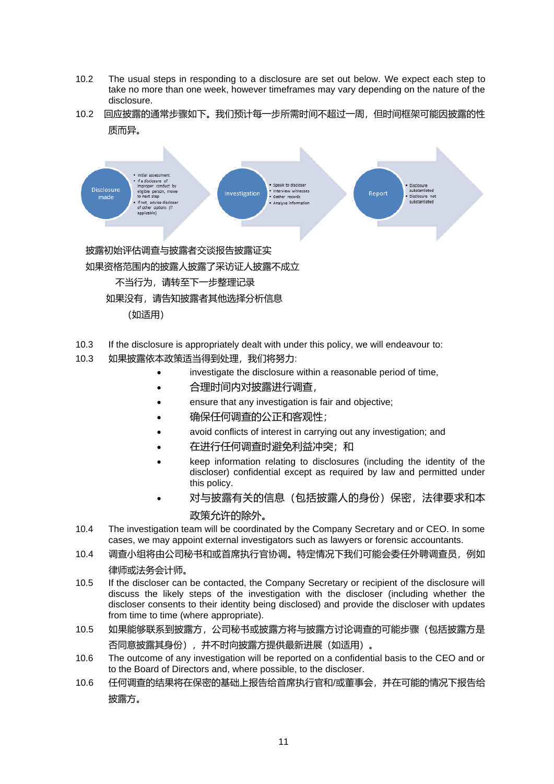- 10.2 The usual steps in responding to a disclosure are set out below. We expect each step to take no more than one week, however timeframes may vary depending on the nature of the disclosure.
- 10.2 回应披露的通常步骤如下。我们预计每一步所需时间不超过一周,但时间框架可能因披露的性 质而异。



- 10.3 If the disclosure is appropriately dealt with under this policy, we will endeavour to:
- 10.3 如果披露依本政策适当得到处理,我们将努力:
	- investigate the disclosure within a reasonable period of time,
	- 合理时间内对披露进行调查,
	- ensure that any investigation is fair and objective;
	- 确保任何调查的公正和客观性;
	- avoid conflicts of interest in carrying out any investigation; and
	- 在进行任何调查时避免利益冲突;和
	- keep information relating to disclosures (including the identity of the discloser) confidential except as required by law and permitted under this policy.
	- 对与披露有关的信息(包括披露人的身份)保密,法律要求和本 政策允许的除外。
- 10.4 The investigation team will be coordinated by the Company Secretary and or CEO. In some cases, we may appoint external investigators such as lawyers or forensic accountants.
- 10.4 调查小组将由公司秘书和或首席执行官协调。特定情况下我们可能会委任外聘调查员,例如 律师或法务会计师。
- 10.5 If the discloser can be contacted, the Company Secretary or recipient of the disclosure will discuss the likely steps of the investigation with the discloser (including whether the discloser consents to their identity being disclosed) and provide the discloser with updates from time to time (where appropriate).
- 10.5 如果能够联系到披露方,公司秘书或披露方将与披露方讨论调查的可能步骤(包括披露方是 否同意披露其身份),并不时向披露方提供最新进展(如适用)。
- 10.6 The outcome of any investigation will be reported on a confidential basis to the CEO and or to the Board of Directors and, where possible, to the discloser.
- 10.6 任何调查的结果将在保密的基础上报告给首席执行官和/或董事会,并在可能的情况下报告给 披露方。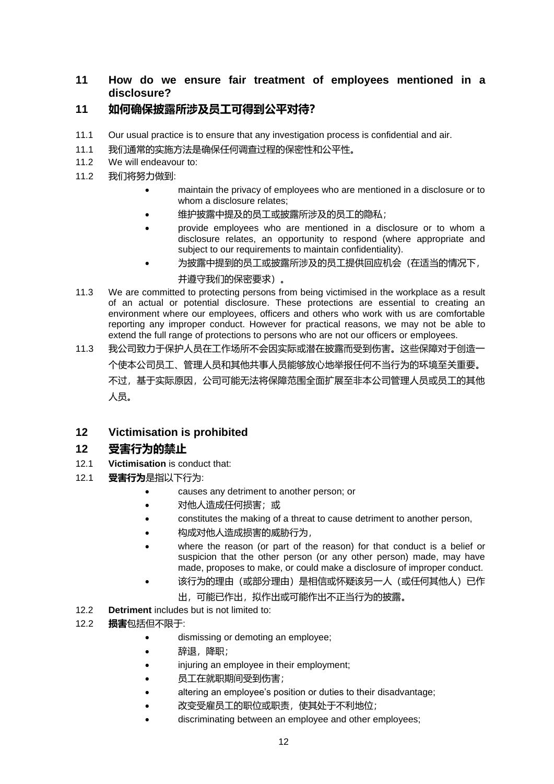### **11 How do we ensure fair treatment of employees mentioned in a disclosure?**

## **11 如何确保披露所涉及员工可得到公平对待?**

- 11.1 Our usual practice is to ensure that any investigation process is confidential and air.
- 11.1 我们通常的实施方法是确保任何调查过程的保密性和公平性。
- 11.2 We will endeavour to:
- 11.2 我们将努力做到:
	- maintain the privacy of employees who are mentioned in a disclosure or to whom a disclosure relates:
	- 维护披露中提及的员工或披露所涉及的员工的隐私;
	- provide employees who are mentioned in a disclosure or to whom a disclosure relates, an opportunity to respond (where appropriate and subject to our requirements to maintain confidentiality).
	- 为披露中提到的员工或披露所涉及的员工提供回应机会(在适当的情况下,

#### 并遵守我们的保密要求)。

- 11.3 We are committed to protecting persons from being victimised in the workplace as a result of an actual or potential disclosure. These protections are essential to creating an environment where our employees, officers and others who work with us are comfortable reporting any improper conduct. However for practical reasons, we may not be able to extend the full range of protections to persons who are not our officers or employees.
- 11.3 我公司致力于保护人员在工作场所不会因实际或潜在披露而受到伤害。这些保障对于创造一 个使本公司员工、管理人员和其他共事人员能够放心地举报任何不当行为的环境至关重要。 不过,基于实际原因,公司可能无法将保障范围全面扩展至非本公司管理人员或员工的其他 人员。

#### **12 Victimisation is prohibited**

#### **12 受害行为的禁止**

- 12.1 **Victimisation** is conduct that:
- 12.1 **受害行为**是指以下行为:
	- causes any detriment to another person; or
	- 对他人造成任何损害;或
	- constitutes the making of a threat to cause detriment to another person,
	- 构成对他人造成损害的威胁行为,
	- where the reason (or part of the reason) for that conduct is a belief or suspicion that the other person (or any other person) made, may have made, proposes to make, or could make a disclosure of improper conduct.
	- 该行为的理由(或部分理由)是相信或怀疑该另一人(或任何其他人)已作
		- 出,可能已作出,拟作出或可能作出不正当行为的披露。
- 12.2 **Detriment** includes but is not limited to:
- 12.2 **损害**包括但不限于:
	- dismissing or demoting an employee;
	- 辞退,降职;
	- injuring an employee in their employment;
	- 员工在就职期间受到伤害;
	- altering an employee's position or duties to their disadvantage;
	- 改变受雇员工的职位或职责,使其处于不利地位;
	- discriminating between an employee and other employees;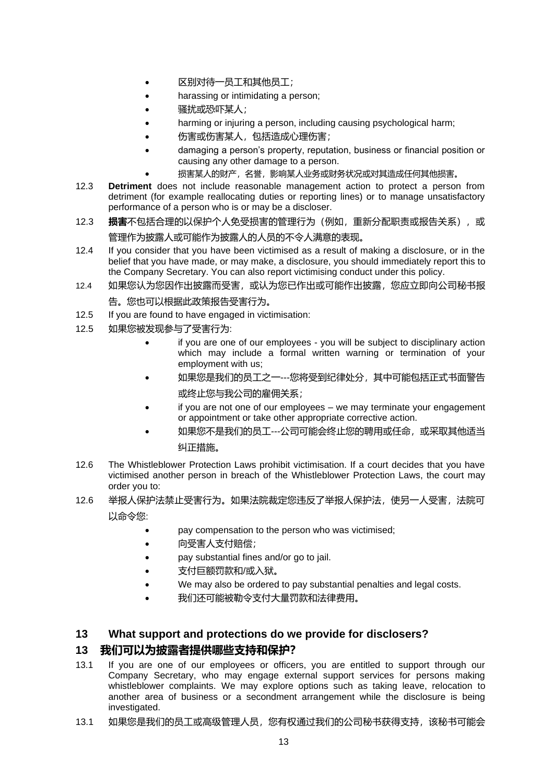- 区别对待一员工和其他员工;
- harassing or intimidating a person;
- 骚扰或恐吓某人;
- harming or injuring a person, including causing psychological harm;
- 伤害或伤害某人,包括造成心理伤害;
- damaging a person's property, reputation, business or financial position or causing any other damage to a person.
- 损害某人的财产,名誉,影响某人业务或财务状况或对其造成任何其他损害。
- 12.3 **Detriment** does not include reasonable management action to protect a person from detriment (for example reallocating duties or reporting lines) or to manage unsatisfactory performance of a person who is or may be a discloser.
- 12.3 **损害**不包括合理的以保护个人免受损害的管理行为(例如,重新分配职责或报告关系),或 管理作为披露人或可能作为披露人的人员的不令人满意的表现。
- 12.4 If you consider that you have been victimised as a result of making a disclosure, or in the belief that you have made, or may make, a disclosure, you should immediately report this to the Company Secretary. You can also report victimising conduct under this policy.
- 12.4 如果您认为您因作出披露而受害, 或认为您已作出或可能作出披露, 您应立即向公司秘书报 告。您也可以根据此政策报告受害行为。
- 12.5 If you are found to have engaged in victimisation:
- 12.5 如果您被发现参与了受害行为:
	- if you are one of our employees you will be subject to disciplinary action which may include a formal written warning or termination of your employment with us;
	- 如果您是我们的员工之一---您将受到纪律处分,其中可能包括正式书面警告 或终止您与我公司的雇佣关系;
	- if you are not one of our employees we may terminate your engagement or appointment or take other appropriate corrective action.
	- 如果您不是我们的员工---公司可能会终止您的聘用或任命, 或采取其他适当 纠正措施。
- 12.6 The Whistleblower Protection Laws prohibit victimisation. If a court decides that you have victimised another person in breach of the Whistleblower Protection Laws, the court may order you to:
- 12.6 举报人保护法禁止受害行为。如果法院裁定您违反了举报人保护法,使另一人受害,法院可 以命令您:
	- pay compensation to the person who was victimised;
	- 向受害人支付赔偿;
	- pay substantial fines and/or go to jail.
	- 支付巨额罚款和/或入狱。
	- We may also be ordered to pay substantial penalties and legal costs.
	- 我们还可能被勒令支付大量罚款和法律费用。

#### **13 What support and protections do we provide for disclosers?**

#### **13 我们可以为披露者提供哪些支持和保护?**

- 13.1 If you are one of our employees or officers, you are entitled to support through our Company Secretary, who may engage external support services for persons making whistleblower complaints. We may explore options such as taking leave, relocation to another area of business or a secondment arrangement while the disclosure is being investigated.
- 13.1 如果您是我们的员工或高级管理人员,您有权通过我们的公司秘书获得支持,该秘书可能会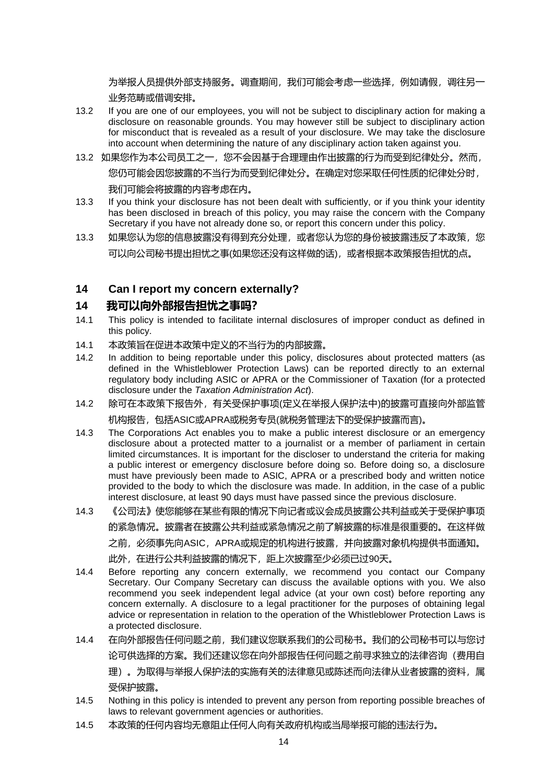为举报人员提供外部支持服务。调查期间,我们可能会考虑一些选择,例如请假,调往另一 业务范畴或借调安排。

- 13.2 If you are one of our employees, you will not be subject to disciplinary action for making a disclosure on reasonable grounds. You may however still be subject to disciplinary action for misconduct that is revealed as a result of your disclosure. We may take the disclosure into account when determining the nature of any disciplinary action taken against you.
- 13.2 如果您作为本公司员工之一,您不会因基于合理理由作出披露的行为而受到纪律处分。然而, 您仍可能会因您披露的不当行为而受到纪律处分。在确定对您采取任何性质的纪律处分时,

我们可能会将披露的内容考虑在内。

- 13.3 If you think your disclosure has not been dealt with sufficiently, or if you think your identity has been disclosed in breach of this policy, you may raise the concern with the Company Secretary if you have not already done so, or report this concern under this policy.
- 13.3 如果您认为您的信息披露没有得到充分处理,或者您认为您的身份被披露违反了本政策,您 可以向公司秘书提出担忧之事(如果您还没有这样做的话),或者根据本政策报告担忧的点。

## <span id="page-13-0"></span>**14 Can I report my concern externally?**

#### **14 我可以向外部报告担忧之事吗?**

- 14.1 This policy is intended to facilitate internal disclosures of improper conduct as defined in this policy.
- 14.1 本政策旨在促进本政策中定义的不当行为的内部披露。
- 14.2 In addition to being reportable under this policy, disclosures about protected matters (as defined in the Whistleblower Protection Laws) can be reported directly to an external regulatory body including ASIC or APRA or the Commissioner of Taxation (for a protected disclosure under the *Taxation Administration Act*).
- 14.2 除可在本政策下报告外,有关受保护事项(定义在举报人保护法中)的披露可直接向外部监管 机构报告,包括ASIC或APRA或税务专员(就税务管理法下的受保护披露而言)。
- 14.3 The Corporations Act enables you to make a public interest disclosure or an emergency disclosure about a protected matter to a journalist or a member of parliament in certain limited circumstances. It is important for the discloser to understand the criteria for making a public interest or emergency disclosure before doing so. Before doing so, a disclosure must have previously been made to ASIC, APRA or a prescribed body and written notice provided to the body to which the disclosure was made. In addition, in the case of a public interest disclosure, at least 90 days must have passed since the previous disclosure.
- 14.3 《公司法》使您能够在某些有限的情况下向记者或议会成员披露公共利益或关于受保护事项

的紧急情况。披露者在披露公共利益或紧急情况之前了解披露的标准是很重要的。在这样做

之前,必须事先向ASIC,APRA或规定的机构进行披露,并向披露对象机构提供书面通知。

此外,在进行公共利益披露的情况下,距上次披露至少必须已过90天。

- 14.4 Before reporting any concern externally, we recommend you contact our Company Secretary. Our Company Secretary can discuss the available options with you. We also recommend you seek independent legal advice (at your own cost) before reporting any concern externally. A disclosure to a legal practitioner for the purposes of obtaining legal advice or representation in relation to the operation of the Whistleblower Protection Laws is a protected disclosure.
- 14.4 在向外部报告任何问题之前,我们建议您联系我们的公司秘书。我们的公司秘书可以与您讨 论可供选择的方案。我们还建议您在向外部报告任何问题之前寻求独立的法律咨询(费用自 理)。为取得与举报人保护法的实施有关的法律意见或陈述而向法律从业者披露的资料,属 受保护披露。
- 14.5 Nothing in this policy is intended to prevent any person from reporting possible breaches of laws to relevant government agencies or authorities.
- 14.5 本政策的任何内容均无意阻止任何人向有关政府机构或当局举报可能的违法行为。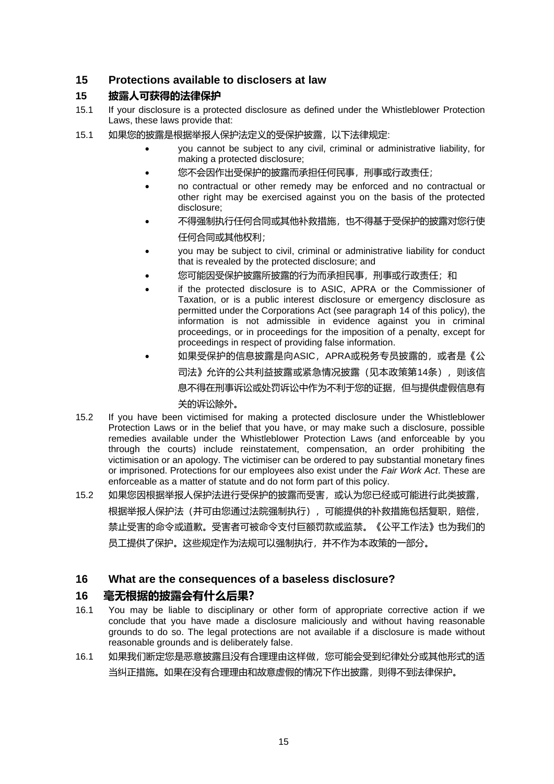#### **15 Protections available to disclosers at law**

#### **15 披露人可获得的法律保护**

- 15.1 If your disclosure is a protected disclosure as defined under the Whistleblower Protection Laws, these laws provide that:
- 15.1 如果您的披露是根据举报人保护法定义的受保护披露,以下法律规定:
	- you cannot be subject to any civil, criminal or administrative liability, for making a protected disclosure;
	- 您不会因作出受保护的披露而承担任何民事,刑事或行政责任;
	- no contractual or other remedy may be enforced and no contractual or other right may be exercised against you on the basis of the protected disclosure;
	- 不得强制执行任何合同或其他补救措施,也不得基于受保护的披露对您行使 任何合同或其他权利;
	- you may be subject to civil, criminal or administrative liability for conduct that is revealed by the protected disclosure; and
	- 您可能因受保护披露所披露的行为而承担民事, 刑事或行政责任; 和
	- if the protected disclosure is to ASIC, APRA or the Commissioner of Taxation, or is a public interest disclosure or emergency disclosure as permitted under the Corporations Act (see paragraph 14 of this policy), the information is not admissible in evidence against you in criminal proceedings, or in proceedings for the imposition of a penalty, except for proceedings in respect of providing false information.
	- 如果受保护的信息披露是向ASIC,APRA或税务专员披露的,或者是《公 司法》允许的公共利益披露或紧急情况披露(见本政策第14条), 则该信 息不得在刑事诉讼或处罚诉讼中作为不利于您的证据,但与提供虚假信息有 关的诉讼除外。
- 15.2 If you have been victimised for making a protected disclosure under the Whistleblower Protection Laws or in the belief that you have, or may make such a disclosure, possible remedies available under the Whistleblower Protection Laws (and enforceable by you through the courts) include reinstatement, compensation, an order prohibiting the victimisation or an apology. The victimiser can be ordered to pay substantial monetary fines or imprisoned. Protections for our employees also exist under the *Fair Work Act*. These are enforceable as a matter of statute and do not form part of this policy.
- 15.2 如果您因根据举报人保护法进行受保护的披露而受害,或认为您已经或可能进行此类披露, 根据举报人保护法(并可由您通过法院强制执行),可能提供的补救措施包括复职,赔偿, 禁止受害的命令或道歉。受害者可被命令支付巨额罚款或监禁。《公平工作法》也为我们的 员工提供了保护。这些规定作为法规可以强制执行,并不作为本政策的一部分。

#### **16 What are the consequences of a baseless disclosure?**

#### **16 毫无根据的披露会有什么后果?**

- 16.1 You may be liable to disciplinary or other form of appropriate corrective action if we conclude that you have made a disclosure maliciously and without having reasonable grounds to do so. The legal protections are not available if a disclosure is made without reasonable grounds and is deliberately false.
- 16.1 如果我们断定您是恶意披露且没有合理理由这样做,您可能会受到纪律处分或其他形式的适 当纠正措施。如果在没有合理理由和故意虚假的情况下作出披露,则得不到法律保护。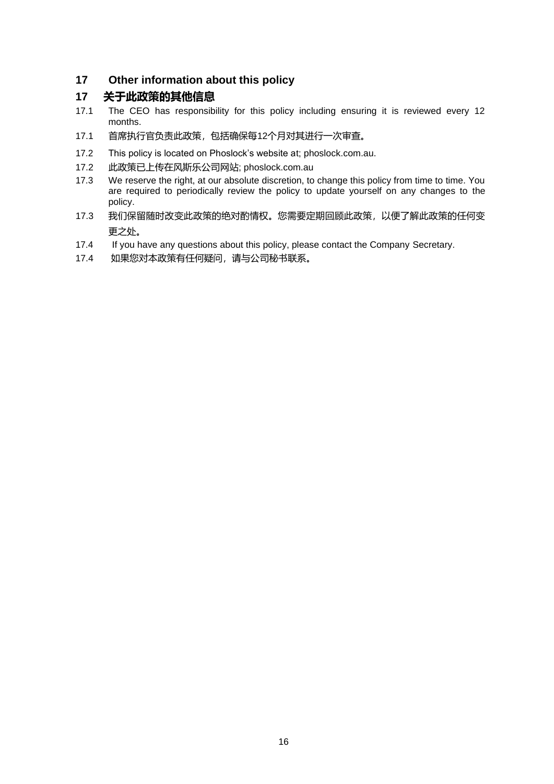#### **17 Other information about this policy**

#### **17 关于此政策的其他信息**

- 17.1 The CEO has responsibility for this policy including ensuring it is reviewed every 12 months.
- 17.1 首席执行官负责此政策,包括确保每12个月对其进行一次审查。
- 17.2 This policy is located on Phoslock's website at; phoslock.com.au.
- 17.2 此政策已上传在风斯乐公司网站; phoslock.com.au
- 17.3 We reserve the right, at our absolute discretion, to change this policy from time to time. You are required to periodically review the policy to update yourself on any changes to the policy.
- 17.3 我们保留随时改变此政策的绝对酌情权。您需要定期回顾此政策,以便了解此政策的任何变 更之处。
- 17.4 If you have any questions about this policy, please contact the Company Secretary.
- 17.4 如果您对本政策有任何疑问,请与公司秘书联系。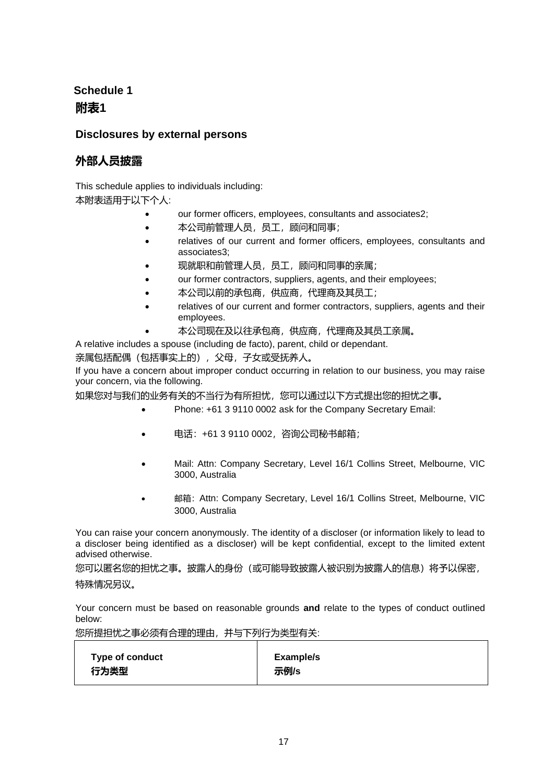## <span id="page-16-0"></span>**Schedule 1 附表1**

## **Disclosures by external persons**

## **外部人员披露**

This schedule applies to individuals including:

本附表适用于以下个人:

- our former officers, employees, consultants and associates2;
- 本公司前管理人员,员工,顾问和同事;
- relatives of our current and former officers, employees, consultants and associates3;
- 现就职和前管理人员,员工,顾问和同事的亲属;
- our former contractors, suppliers, agents, and their employees;
- 本公司以前的承包商,供应商,代理商及其员工;
- relatives of our current and former contractors, suppliers, agents and their employees.
- 本公司现在及以往承包商,供应商,代理商及其员工亲属。

A relative includes a spouse (including de facto), parent, child or dependant.

亲属包括配偶(包括事实上的), 父母, 子女或受抚养人。

If you have a concern about improper conduct occurring in relation to our business, you may raise your concern, via the following.

如果您对与我们的业务有关的不当行为有所担忧,您可以通过以下方式提出您的担忧之事。

- Phone: +61 3 9110 0002 ask for the Company Secretary Email:
- 电话: +61 3 9110 0002, 咨询公司秘书邮箱;
- Mail: Attn: Company Secretary, Level 16/1 Collins Street, Melbourne, VIC 3000, Australia
- 邮箱:Attn: Company Secretary, Level 16/1 Collins Street, Melbourne, VIC 3000, Australia

You can raise your concern anonymously. The identity of a discloser (or information likely to lead to a discloser being identified as a discloser) will be kept confidential, except to the limited extent advised otherwise.

您可以匿名您的担忧之事。披露人的身份(或可能导致披露人被识别为披露人的信息)将予以保密, 特殊情况另议。

Your concern must be based on reasonable grounds **and** relate to the types of conduct outlined below:

您所提担忧之事必须有合理的理由,并与下列行为类型有关:

| <b>Type of conduct</b> | Example/s |
|------------------------|-----------|
|                        |           |
| 行为类型                   | 示例/s      |
|                        |           |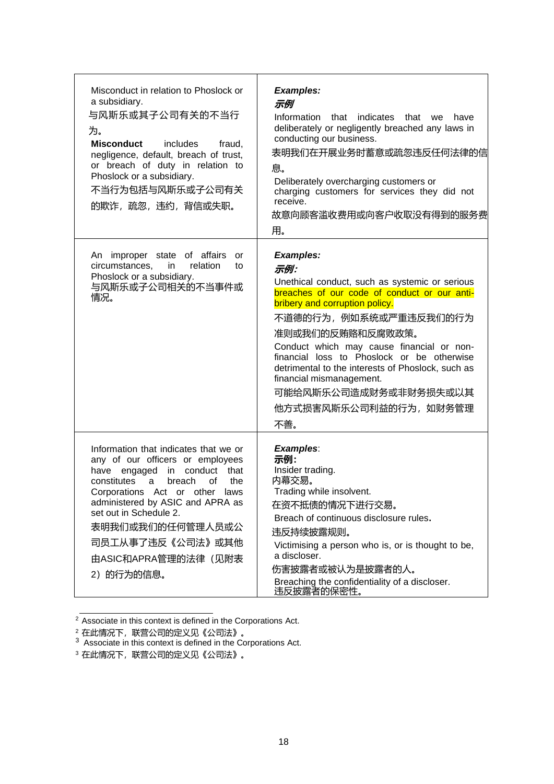| Misconduct in relation to Phoslock or<br>a subsidiary.<br>与风斯乐或其子公司有关的不当行<br>为。<br><b>Misconduct</b><br>includes<br>fraud,<br>negligence, default, breach of trust,<br>or breach of duty in relation to<br>Phoslock or a subsidiary.<br>不当行为包括与风斯乐或子公司有关<br>的欺诈, 疏忽, 违约, 背信或失职。                                                   | <b>Examples:</b><br>示例<br>Information that indicates that<br>we<br>have<br>deliberately or negligently breached any laws in<br>conducting our business.<br>表明我们在开展业务时蓄意或疏忽违反任何法律的信<br>息。<br>Deliberately overcharging customers or<br>charging customers for services they did not<br>receive.<br>故意向顾客滥收费用或向客户收取没有得到的服务费<br>用。                                                                                                                 |
|-----------------------------------------------------------------------------------------------------------------------------------------------------------------------------------------------------------------------------------------------------------------------------------------------------------------------------------|-------------------------------------------------------------------------------------------------------------------------------------------------------------------------------------------------------------------------------------------------------------------------------------------------------------------------------------------------------------------------------------------------------------------------------------------------|
| An improper state of affairs<br>or<br>circumstances,<br>in<br>relation<br>to<br>Phoslock or a subsidiary.<br>与风斯乐或子公司相关的不当事件或<br>情况。                                                                                                                                                                                              | <b>Examples:</b><br>示例:<br>Unethical conduct, such as systemic or serious<br>breaches of our code of conduct or our anti-<br>bribery and corruption policy.<br>不道德的行为, 例如系统或严重违反我们的行为<br>准则或我们的反贿赂和反腐败政策。<br>Conduct which may cause financial or non-<br>financial loss to Phoslock or be otherwise<br>detrimental to the interests of Phoslock, such as<br>financial mismanagement.<br>可能给风斯乐公司造成财务或非财务损失或以其<br>他方式损害风斯乐公司利益的行为, 如财务管理<br>不善。 |
| Information that indicates that we or<br>any of our officers or employees<br>have engaged in conduct that<br>constitutes<br>breach<br>the<br>a<br>of<br>Corporations Act or other laws<br>administered by ASIC and APRA as<br>set out in Schedule 2.<br>表明我们或我们的任何管理人员或公<br>司员工从事了违反《公司法》或其他<br>由ASIC和APRA管理的法律(见附表<br>2) 的行为的信息。 | <b>Examples:</b><br>示例:<br>Insider trading.<br>内幕交易。<br>Trading while insolvent.<br>在资不抵债的情况下进行交易。<br>Breach of continuous disclosure rules.<br>违反持续披露规则。<br>Victimising a person who is, or is thought to be,<br>a discloser.<br>伤害披露者或被认为是披露者的人。<br>Breaching the confidentiality of a discloser.<br>违反披露者的保密性。                                                                                                                               |

<sup>&</sup>lt;sup>2</sup> Associate in this context is defined in the Corporations Act.

<sup>2</sup>在此情况下,联营公司的定义见《公司法》。

 $3$  Associate in this context is defined in the Corporations Act.

<sup>3</sup> 在此情况下,联营公司的定义见《公司法》。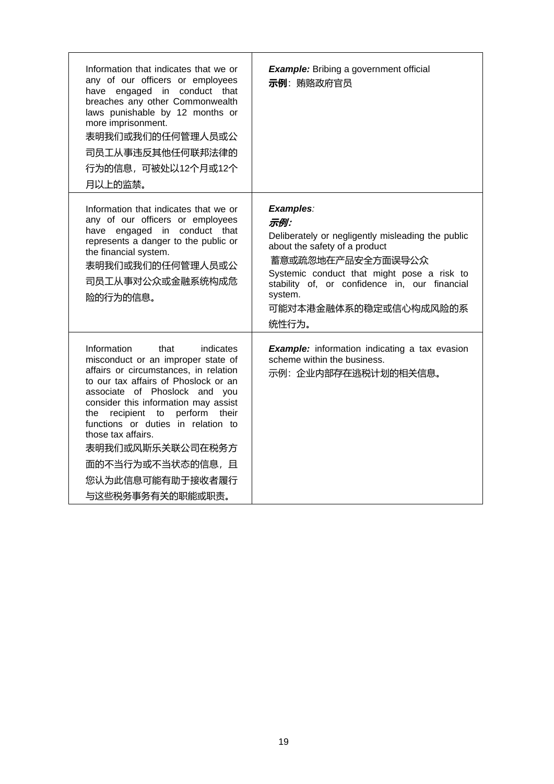<span id="page-18-0"></span>

| Information that indicates that we or<br>any of our officers or employees<br>have engaged in conduct that<br>breaches any other Commonwealth<br>laws punishable by 12 months or<br>more imprisonment.<br>表明我们或我们的任何管理人员或公<br>司员工从事违反其他任何联邦法律的<br>行为的信息,可被处以12个月或12个<br>月以上的监禁。                                                                                                                                     | <b>Example:</b> Bribing a government official<br>示例: 贿赂政府官员                                                                                                                                                                                                             |
|--------------------------------------------------------------------------------------------------------------------------------------------------------------------------------------------------------------------------------------------------------------------------------------------------------------------------------------------------------------------------------------------------------------------|-------------------------------------------------------------------------------------------------------------------------------------------------------------------------------------------------------------------------------------------------------------------------|
| Information that indicates that we or<br>any of our officers or employees<br>have engaged in conduct that<br>represents a danger to the public or<br>the financial system.<br>表明我们或我们的任何管理人员或公<br>司员工从事对公众或金融系统构成危<br>险的行为的信息。                                                                                                                                                                                     | Examples:<br>示例:<br>Deliberately or negligently misleading the public<br>about the safety of a product<br>蓄意或疏忽地在产品安全方面误导公众<br>Systemic conduct that might pose a risk to<br>stability of, or confidence in, our financial<br>system.<br>可能对本港金融体系的稳定或信心构成风险的系<br>统性行为。 |
| Information<br>that<br>indicates<br>misconduct or an improper state of<br>affairs or circumstances, in relation<br>to our tax affairs of Phoslock or an<br>associate of Phoslock and you<br>consider this information may assist<br>recipient to perform their<br>the<br>functions or duties in relation to<br>those tax affairs.<br>表明我们或风斯乐关联公司在税务方<br>面的不当行为或不当状态的信息, 且<br>您认为此信息可能有助于接收者履行<br>与这些税务事务有关的职能或职责。 | <b>Example:</b> information indicating a tax evasion<br>scheme within the business.<br>示例:企业内部存在逃税计划的相关信息。                                                                                                                                                              |